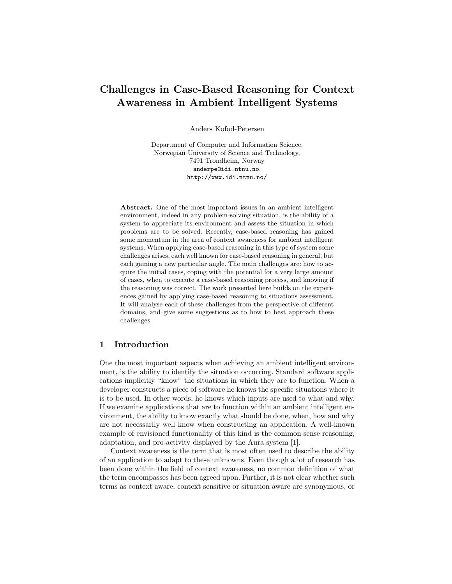# Challenges in Case-Based Reasoning for Context Awareness in Ambient Intelligent Systems

Anders Kofod-Petersen

Department of Computer and Information Science, Norwegian University of Science and Technology, 7491 Trondheim, Norway anderpe@idi.ntnu.no, http://www.idi.ntnu.no/

Abstract. One of the most important issues in an ambient intelligent environment, indeed in any problem-solving situation, is the ability of a system to appreciate its environment and assess the situation in which problems are to be solved. Recently, case-based reasoning has gained some momentum in the area of context awareness for ambient intelligent systems. When applying case-based reasoning in this type of system some challenges arises, each well known for case-based reasoning in general, but each gaining a new particular angle. The main challenges are: how to acquire the initial cases, coping with the potential for a very large amount of cases, when to execute a case-based reasoning process, and knowing if the reasoning was correct. The work presented here builds on the experiences gained by applying case-based reasoning to situations assessment. It will analyse each of these challenges from the perspective of different domains, and give some suggestions as to how to best approach these challenges.

## 1 Introduction

One the most important aspects when achieving an ambient intelligent environment, is the ability to identify the situation occurring. Standard software applications implicitly "know" the situations in which they are to function. When a developer constructs a piece of software he knows the specific situations where it is to be used. In other words, he knows which inputs are used to what and why. If we examine applications that are to function within an ambient intelligent environment, the ability to know exactly what should be done, when, how and why are not necessarily well know when constructing an application. A well-known example of envisioned functionality of this kind is the common sense reasoning, adaptation, and pro-activity displayed by the Aura system [1].

Context awareness is the term that is most often used to describe the ability of an application to adapt to these unknowns. Even though a lot of research has been done within the field of context awareness, no common definition of what the term encompasses has been agreed upon. Further, it is not clear whether such terms as context aware, context sensitive or situation aware are synonymous, or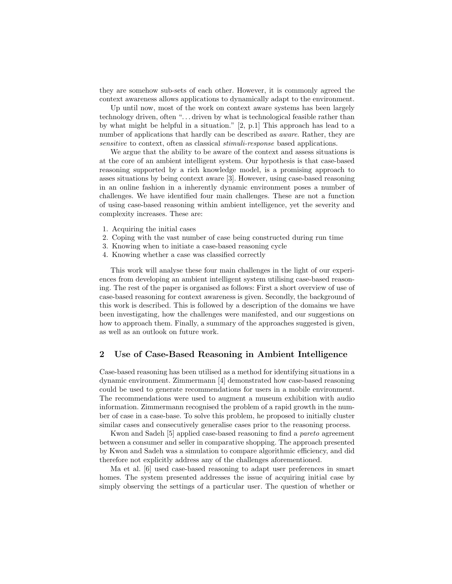they are somehow sub-sets of each other. However, it is commonly agreed the context awareness allows applications to dynamically adapt to the environment.

Up until now, most of the work on context aware systems has been largely technology driven, often "... driven by what is technological feasible rather than by what might be helpful in a situation." [2, p.1] This approach has lead to a number of applications that hardly can be described as *aware*. Rather, they are sensitive to context, often as classical stimuli-response based applications.

We argue that the ability to be aware of the context and assess situations is at the core of an ambient intelligent system. Our hypothesis is that case-based reasoning supported by a rich knowledge model, is a promising approach to asses situations by being context aware [3]. However, using case-based reasoning in an online fashion in a inherently dynamic environment poses a number of challenges. We have identified four main challenges. These are not a function of using case-based reasoning within ambient intelligence, yet the severity and complexity increases. These are:

- 1. Acquiring the initial cases
- 2. Coping with the vast number of case being constructed during run time
- 3. Knowing when to initiate a case-based reasoning cycle
- 4. Knowing whether a case was classified correctly

This work will analyse these four main challenges in the light of our experiences from developing an ambient intelligent system utilising case-based reasoning. The rest of the paper is organised as follows: First a short overview of use of case-based reasoning for context awareness is given. Secondly, the background of this work is described. This is followed by a description of the domains we have been investigating, how the challenges were manifested, and our suggestions on how to approach them. Finally, a summary of the approaches suggested is given, as well as an outlook on future work.

## 2 Use of Case-Based Reasoning in Ambient Intelligence

Case-based reasoning has been utilised as a method for identifying situations in a dynamic environment. Zimmermann [4] demonstrated how case-based reasoning could be used to generate recommendations for users in a mobile environment. The recommendations were used to augment a museum exhibition with audio information. Zimmermann recognised the problem of a rapid growth in the number of case in a case-base. To solve this problem, he proposed to initially cluster similar cases and consecutively generalise cases prior to the reasoning process.

Kwon and Sadeh [5] applied case-based reasoning to find a pareto agreement between a consumer and seller in comparative shopping. The approach presented by Kwon and Sadeh was a simulation to compare algorithmic efficiency, and did therefore not explicitly address any of the challenges aforementioned.

Ma et al. [6] used case-based reasoning to adapt user preferences in smart homes. The system presented addresses the issue of acquiring initial case by simply observing the settings of a particular user. The question of whether or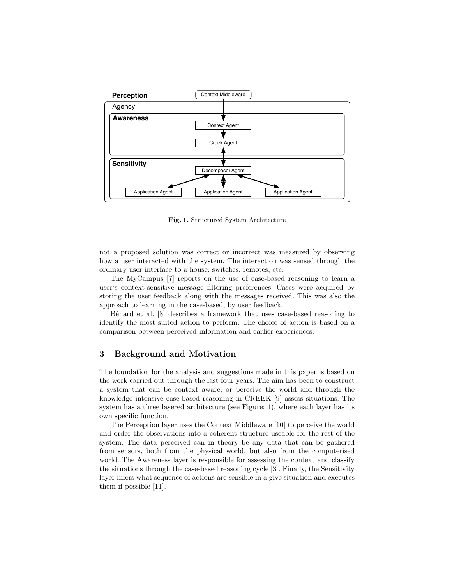

Fig. 1. Structured System Architecture

not a proposed solution was correct or incorrect was measured by observing how a user interacted with the system. The interaction was sensed through the ordinary user interface to a house: switches, remotes, etc.

The MyCampus [7] reports on the use of case-based reasoning to learn a user's context-sensitive message filtering preferences. Cases were acquired by storing the user feedback along with the messages received. This was also the approach to learning in the case-based, by user feedback.

B´enard et al. [8] describes a framework that uses case-based reasoning to identify the most suited action to perform. The choice of action is based on a comparison between perceived information and earlier experiences.

#### 3 Background and Motivation

The foundation for the analysis and suggestions made in this paper is based on the work carried out through the last four years. The aim has been to construct a system that can be context aware, or perceive the world and through the knowledge intensive case-based reasoning in CREEK [9] assess situations. The system has a three layered architecture (see Figure: 1), where each layer has its own specific function.

The Perception layer uses the Context Middleware [10] to perceive the world and order the observations into a coherent structure useable for the rest of the system. The data perceived can in theory be any data that can be gathered from sensors, both from the physical world, but also from the computerised world. The Awareness layer is responsible for assessing the context and classify the situations through the case-based reasoning cycle [3]. Finally, the Sensitivity layer infers what sequence of actions are sensible in a give situation and executes them if possible [11].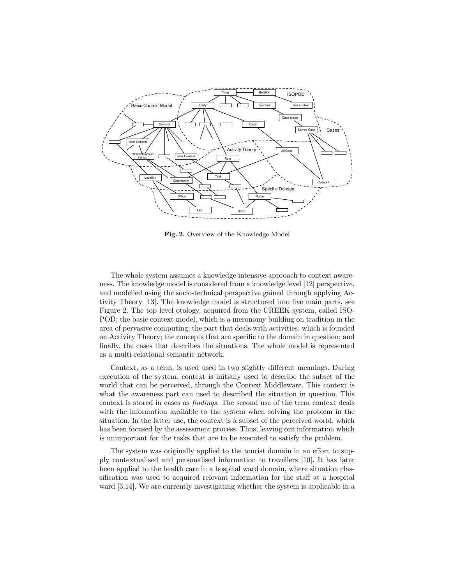

Fig. 2. Overview of the Knowledge Model

The whole system assumes a knowledge intensive approach to context awareness. The knowledge model is considered from a knowledge level [12] perspective, and modelled using the socio-technical perspective gained through applying Activity Theory [13]. The knowledge model is structured into five main parts, see Figure 2. The top level otology, acquired from the CREEK system, called ISO-POD; the basic context model, which is a meronomy building on tradition in the area of pervasive computing; the part that deals with activities, which is founded on Activity Theory; the concepts that are specific to the domain in question; and finally, the cases that describes the situations. The whole model is represented as a multi-relational semantic network.

Context, as a term, is used used in two slightly different meanings. During execution of the system, context is initially used to describe the subset of the world that can be perceived, through the Context Middleware. This context is what the awareness part can used to described the situation in question. This context is stored in cases as findings. The second use of the term context deals with the information available to the system when solving the problem in the situation. In the latter use, the context is a subset of the perceived world, which has been focused by the assessment process. Thus, leaving out information which is unimportant for the tasks that are to be executed to satisfy the problem.

The system was originally applied to the tourist domain in an effort to supply contextualised and personalised information to travellers [10]. It has later been applied to the health care in a hospital ward domain, where situation classification was used to acquired relevant information for the staff at a hospital ward [3,14]. We are currently investigating whether the system is applicable in a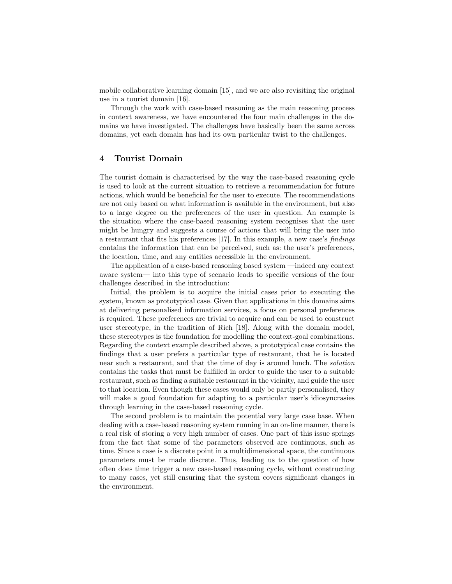mobile collaborative learning domain [15], and we are also revisiting the original use in a tourist domain [16].

Through the work with case-based reasoning as the main reasoning process in context awareness, we have encountered the four main challenges in the domains we have investigated. The challenges have basically been the same across domains, yet each domain has had its own particular twist to the challenges.

## 4 Tourist Domain

The tourist domain is characterised by the way the case-based reasoning cycle is used to look at the current situation to retrieve a recommendation for future actions, which would be beneficial for the user to execute. The recommendations are not only based on what information is available in the environment, but also to a large degree on the preferences of the user in question. An example is the situation where the case-based reasoning system recognises that the user might be hungry and suggests a course of actions that will bring the user into a restaurant that fits his preferences [17]. In this example, a new case's findings contains the information that can be perceived, such as: the user's preferences, the location, time, and any entities accessible in the environment.

The application of a case-based reasoning based system —indeed any context aware system— into this type of scenario leads to specific versions of the four challenges described in the introduction:

Initial, the problem is to acquire the initial cases prior to executing the system, known as prototypical case. Given that applications in this domains aims at delivering personalised information services, a focus on personal preferences is required. These preferences are trivial to acquire and can be used to construct user stereotype, in the tradition of Rich [18]. Along with the domain model, these stereotypes is the foundation for modelling the context-goal combinations. Regarding the context example described above, a prototypical case contains the findings that a user prefers a particular type of restaurant, that he is located near such a restaurant, and that the time of day is around lunch. The solution contains the tasks that must be fulfilled in order to guide the user to a suitable restaurant, such as finding a suitable restaurant in the vicinity, and guide the user to that location. Even though these cases would only be partly personalised, they will make a good foundation for adapting to a particular user's idiosyncrasies through learning in the case-based reasoning cycle.

The second problem is to maintain the potential very large case base. When dealing with a case-based reasoning system running in an on-line manner, there is a real risk of storing a very high number of cases. One part of this issue springs from the fact that some of the parameters observed are continuous, such as time. Since a case is a discrete point in a multidimensional space, the continuous parameters must be made discrete. Thus, leading us to the question of how often does time trigger a new case-based reasoning cycle, without constructing to many cases, yet still ensuring that the system covers significant changes in the environment.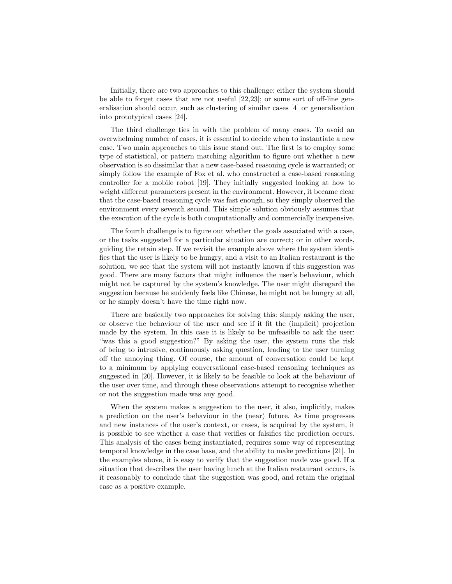Initially, there are two approaches to this challenge: either the system should be able to forget cases that are not useful [22,23]; or some sort of off-line generalisation should occur, such as clustering of similar cases [4] or generalisation into prototypical cases [24].

The third challenge ties in with the problem of many cases. To avoid an overwhelming number of cases, it is essential to decide when to instantiate a new case. Two main approaches to this issue stand out. The first is to employ some type of statistical, or pattern matching algorithm to figure out whether a new observation is so dissimilar that a new case-based reasoning cycle is warranted; or simply follow the example of Fox et al. who constructed a case-based reasoning controller for a mobile robot [19]. They initially suggested looking at how to weight different parameters present in the environment. However, it became clear that the case-based reasoning cycle was fast enough, so they simply observed the environment every seventh second. This simple solution obviously assumes that the execution of the cycle is both computationally and commercially inexpensive.

The fourth challenge is to figure out whether the goals associated with a case, or the tasks suggested for a particular situation are correct; or in other words, guiding the retain step. If we revisit the example above where the system identifies that the user is likely to be hungry, and a visit to an Italian restaurant is the solution, we see that the system will not instantly known if this suggestion was good. There are many factors that might influence the user's behaviour, which might not be captured by the system's knowledge. The user might disregard the suggestion because he suddenly feels like Chinese, he might not be hungry at all, or he simply doesn't have the time right now.

There are basically two approaches for solving this: simply asking the user, or observe the behaviour of the user and see if it fit the (implicit) projection made by the system. In this case it is likely to be unfeasible to ask the user: "was this a good suggestion?" By asking the user, the system runs the risk of being to intrusive, continuously asking question, leading to the user turning off the annoying thing. Of course, the amount of conversation could be kept to a minimum by applying conversational case-based reasoning techniques as suggested in [20]. However, it is likely to be feasible to look at the behaviour of the user over time, and through these observations attempt to recognise whether or not the suggestion made was any good.

When the system makes a suggestion to the user, it also, implicitly, makes a prediction on the user's behaviour in the (near) future. As time progresses and new instances of the user's context, or cases, is acquired by the system, it is possible to see whether a case that verifies or falsifies the prediction occurs. This analysis of the cases being instantiated, requires some way of representing temporal knowledge in the case base, and the ability to make predictions [21]. In the examples above, it is easy to verify that the suggestion made was good. If a situation that describes the user having lunch at the Italian restaurant occurs, is it reasonably to conclude that the suggestion was good, and retain the original case as a positive example.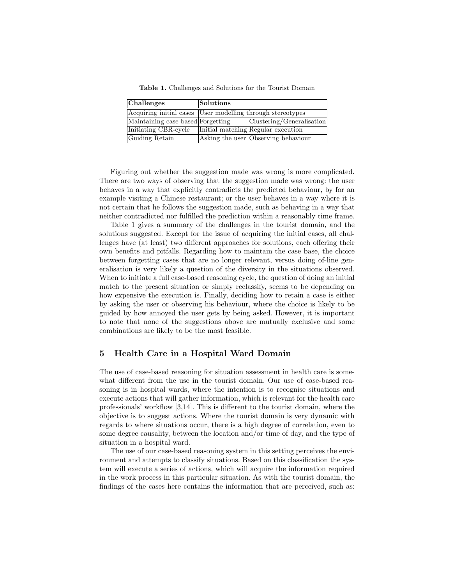Table 1. Challenges and Solutions for the Tourist Domain

| <b>Challenges</b>                 | $\sf{Solutions}$                                           |                                     |
|-----------------------------------|------------------------------------------------------------|-------------------------------------|
|                                   | Acquiring initial cases User modelling through stereotypes |                                     |
| Maintaining case based Forgetting |                                                            | Clustering/Generalisation           |
| Initiating CBR-cycle              |                                                            | Initial matching Regular execution  |
| Guiding Retain                    |                                                            | Asking the user Observing behaviour |

Figuring out whether the suggestion made was wrong is more complicated. There are two ways of observing that the suggestion made was wrong: the user behaves in a way that explicitly contradicts the predicted behaviour, by for an example visiting a Chinese restaurant; or the user behaves in a way where it is not certain that he follows the suggestion made, such as behaving in a way that neither contradicted nor fulfilled the prediction within a reasonably time frame.

Table 1 gives a summary of the challenges in the tourist domain, and the solutions suggested. Except for the issue of acquiring the initial cases, all challenges have (at least) two different approaches for solutions, each offering their own benefits and pitfalls. Regarding how to maintain the case base, the choice between forgetting cases that are no longer relevant, versus doing of-line generalisation is very likely a question of the diversity in the situations observed. When to initiate a full case-based reasoning cycle, the question of doing an initial match to the present situation or simply reclassify, seems to be depending on how expensive the execution is. Finally, deciding how to retain a case is either by asking the user or observing his behaviour, where the choice is likely to be guided by how annoyed the user gets by being asked. However, it is important to note that none of the suggestions above are mutually exclusive and some combinations are likely to be the most feasible.

#### 5 Health Care in a Hospital Ward Domain

The use of case-based reasoning for situation assessment in health care is somewhat different from the use in the tourist domain. Our use of case-based reasoning is in hospital wards, where the intention is to recognise situations and execute actions that will gather information, which is relevant for the health care professionals' workflow [3,14]. This is different to the tourist domain, where the objective is to suggest actions. Where the tourist domain is very dynamic with regards to where situations occur, there is a high degree of correlation, even to some degree causality, between the location and/or time of day, and the type of situation in a hospital ward.

The use of our case-based reasoning system in this setting perceives the environment and attempts to classify situations. Based on this classification the system will execute a series of actions, which will acquire the information required in the work process in this particular situation. As with the tourist domain, the findings of the cases here contains the information that are perceived, such as: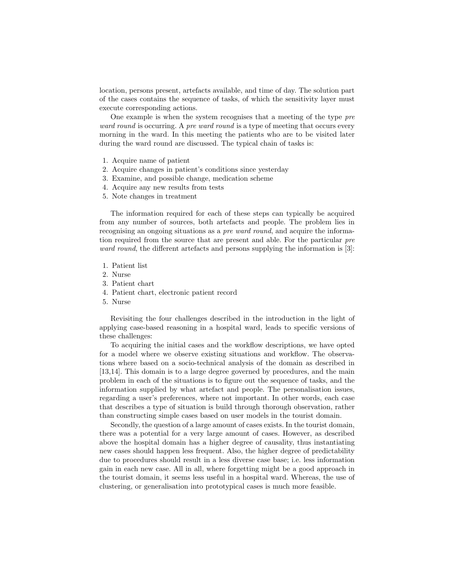location, persons present, artefacts available, and time of day. The solution part of the cases contains the sequence of tasks, of which the sensitivity layer must execute corresponding actions.

One example is when the system recognises that a meeting of the type pre ward round is occurring. A pre ward round is a type of meeting that occurs every morning in the ward. In this meeting the patients who are to be visited later during the ward round are discussed. The typical chain of tasks is:

- 1. Acquire name of patient
- 2. Acquire changes in patient's conditions since yesterday
- 3. Examine, and possible change, medication scheme
- 4. Acquire any new results from tests
- 5. Note changes in treatment

The information required for each of these steps can typically be acquired from any number of sources, both artefacts and people. The problem lies in recognising an ongoing situations as a *pre ward round*, and acquire the information required from the source that are present and able. For the particular pre ward round, the different artefacts and persons supplying the information is [3]:

- 1. Patient list
- 2. Nurse
- 3. Patient chart
- 4. Patient chart, electronic patient record
- 5. Nurse

Revisiting the four challenges described in the introduction in the light of applying case-based reasoning in a hospital ward, leads to specific versions of these challenges:

To acquiring the initial cases and the workflow descriptions, we have opted for a model where we observe existing situations and workflow. The observations where based on a socio-technical analysis of the domain as described in [13,14]. This domain is to a large degree governed by procedures, and the main problem in each of the situations is to figure out the sequence of tasks, and the information supplied by what artefact and people. The personalisation issues, regarding a user's preferences, where not important. In other words, each case that describes a type of situation is build through thorough observation, rather than constructing simple cases based on user models in the tourist domain.

Secondly, the question of a large amount of cases exists. In the tourist domain, there was a potential for a very large amount of cases. However, as described above the hospital domain has a higher degree of causality, thus instantiating new cases should happen less frequent. Also, the higher degree of predictability due to procedures should result in a less diverse case base; i.e. less information gain in each new case. All in all, where forgetting might be a good approach in the tourist domain, it seems less useful in a hospital ward. Whereas, the use of clustering, or generalisation into prototypical cases is much more feasible.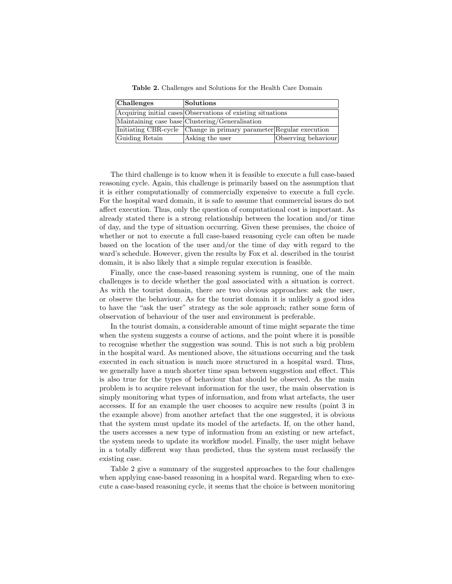Table 2. Challenges and Solutions for the Health Care Domain

| <b>Challenges</b> | $\sf{Solutions}$                                                   |                     |
|-------------------|--------------------------------------------------------------------|---------------------|
|                   | Acquiring initial cases Observations of existing situations        |                     |
|                   | Maintaining case base Clustering/Generalisation                    |                     |
|                   | Initiating CBR-cycle Change in primary parameter Regular execution |                     |
| Guiding Retain    | Asking the user                                                    | Observing behaviour |

The third challenge is to know when it is feasible to execute a full case-based reasoning cycle. Again, this challenge is primarily based on the assumption that it is either computationally of commercially expensive to execute a full cycle. For the hospital ward domain, it is safe to assume that commercial issues do not affect execution. Thus, only the question of computational cost is important. As already stated there is a strong relationship between the location and/or time of day, and the type of situation occurring. Given these premises, the choice of whether or not to execute a full case-based reasoning cycle can often be made based on the location of the user and/or the time of day with regard to the ward's schedule. However, given the results by Fox et al. described in the tourist domain, it is also likely that a simple regular execution is feasible.

Finally, once the case-based reasoning system is running, one of the main challenges is to decide whether the goal associated with a situation is correct. As with the tourist domain, there are two obvious approaches: ask the user, or observe the behaviour. As for the tourist domain it is unlikely a good idea to have the "ask the user" strategy as the sole approach; rather some form of observation of behaviour of the user and environment is preferable.

In the tourist domain, a considerable amount of time might separate the time when the system suggests a course of actions, and the point where it is possible to recognise whether the suggestion was sound. This is not such a big problem in the hospital ward. As mentioned above, the situations occurring and the task executed in each situation is much more structured in a hospital ward. Thus, we generally have a much shorter time span between suggestion and effect. This is also true for the types of behaviour that should be observed. As the main problem is to acquire relevant information for the user, the main observation is simply monitoring what types of information, and from what artefacts, the user accesses. If for an example the user chooses to acquire new results (point 3 in the example above) from another artefact that the one suggested, it is obvious that the system must update its model of the artefacts. If, on the other hand, the users accesses a new type of information from an existing or new artefact, the system needs to update its workflow model. Finally, the user might behave in a totally different way than predicted, thus the system must reclassify the existing case.

Table 2 give a summary of the suggested approaches to the four challenges when applying case-based reasoning in a hospital ward. Regarding when to execute a case-based reasoning cycle, it seems that the choice is between monitoring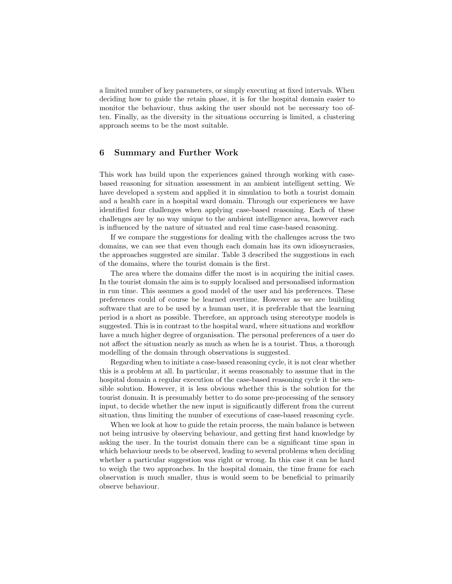a limited number of key parameters, or simply executing at fixed intervals. When deciding how to guide the retain phase, it is for the hospital domain easier to monitor the behaviour, thus asking the user should not be necessary too often. Finally, as the diversity in the situations occurring is limited, a clustering approach seems to be the most suitable.

# 6 Summary and Further Work

This work has build upon the experiences gained through working with casebased reasoning for situation assessment in an ambient intelligent setting. We have developed a system and applied it in simulation to both a tourist domain and a health care in a hospital ward domain. Through our experiences we have identified four challenges when applying case-based reasoning. Each of these challenges are by no way unique to the ambient intelligence area, however each is influenced by the nature of situated and real time case-based reasoning.

If we compare the suggestions for dealing with the challenges across the two domains, we can see that even though each domain has its own idiosyncrasies, the approaches suggested are similar. Table 3 described the suggestions in each of the domains, where the tourist domain is the first.

The area where the domains differ the most is in acquiring the initial cases. In the tourist domain the aim is to supply localised and personalised information in run time. This assumes a good model of the user and his preferences. These preferences could of course be learned overtime. However as we are building software that are to be used by a human user, it is preferable that the learning period is a short as possible. Therefore, an approach using stereotype models is suggested. This is in contrast to the hospital ward, where situations and workflow have a much higher degree of organisation. The personal preferences of a user do not affect the situation nearly as much as when he is a tourist. Thus, a thorough modelling of the domain through observations is suggested.

Regarding when to initiate a case-based reasoning cycle, it is not clear whether this is a problem at all. In particular, it seems reasonably to assume that in the hospital domain a regular execution of the case-based reasoning cycle it the sensible solution. However, it is less obvious whether this is the solution for the tourist domain. It is presumably better to do some pre-processing of the sensory input, to decide whether the new input is significantly different from the current situation, thus limiting the number of executions of case-based reasoning cycle.

When we look at how to guide the retain process, the main balance is between not being intrusive by observing behaviour, and getting first hand knowledge by asking the user. In the tourist domain there can be a significant time span in which behaviour needs to be observed, leading to several problems when deciding whether a particular suggestion was right or wrong. In this case it can be hard to weigh the two approaches. In the hospital domain, the time frame for each observation is much smaller, thus is would seem to be beneficial to primarily observe behaviour.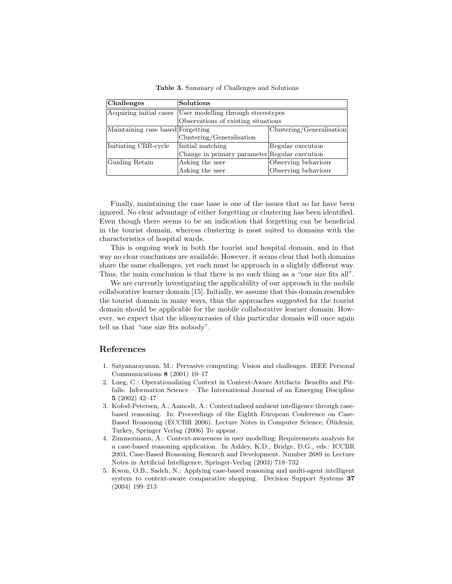| Challenges                        | <b>Solutions</b>                              |                           |  |
|-----------------------------------|-----------------------------------------------|---------------------------|--|
| Acquiring initial cases           | User modelling through stereotypes            |                           |  |
|                                   | Observations of existing situations           |                           |  |
| Maintaining case based Forgetting |                                               | Clustering/Generalisation |  |
|                                   | Clustering/Generalisation                     |                           |  |
| Initiating CBR-cycle              | Initial matching                              | Regular execution         |  |
|                                   | Change in primary parameter Regular execution |                           |  |
| Guiding Retain                    | Asking the user                               | Observing behaviour       |  |
|                                   | Asking the user                               | Observing behaviour       |  |

Table 3. Summary of Challenges and Solutions

Finally, maintaining the case base is one of the issues that so far have been ignored. No clear advantage of either forgetting or clustering has been identified. Even though there seems to be an indication that forgetting can be beneficial in the tourist domain, whereas clustering is most suited to domains with the characteristics of hospital wards.

This is ongoing work in both the tourist and hospital domain, and in that way no clear conclusions are available. However, it seems clear that both domains share the same challenges, yet each must be approach in a slightly different way. Thus, the main conclusion is that there is no such thing as a "one size fits all".

We are currently investigating the applicability of our approach in the mobile collaborative learner domain [15]. Initially, we assume that this domain resembles the tourist domain in many ways, thus the approaches suggested for the tourist domain should be applicable for the mobile collaborative learner domain. However, we expect that the idiosyncrasies of this particular domain will once again tell us that "one size fits nobody".

# References

- 1. Satyanarayanan, M.: Pervasive computing: Vision and challenges. IEEE Personal Communications 8 (2001) 10–17
- 2. Lueg, C.: Operationalizing Context in Context-Aware Artifacts: Benefits and Pitfalls. Information Science – The International Journal of an Emerging Discipline 5 (2002) 42–47
- 3. Kofod-Petersen, A., Aamodt, A.: Contextualised ambient intelligence through casebased reasoning. In: Proceedings of the Eighth European Conference on Case-Based Reasoning (ECCBR 2006). Lecture Notes in Computer Science, Olüdeniz, Turkey, Springer Verlag (2006) To appear.
- 4. Zimmermann, A.: Context-awareness in user modelling: Requirements analysis for a case-based reasoning application. In Ashley, K.D., Bridge, D.G., eds.: ICCBR 2003, Case-Based Reasoning Research and Development. Number 2689 in Lecture Notes in Artificial Intelligence, Springer-Verlag (2003) 718–732
- 5. Kwon, O.B., Sadeh, N.: Applying case-based reasoning and multi-agent intelligent system to context-aware comparative shopping. Decision Support Systems 37 (2004) 199–213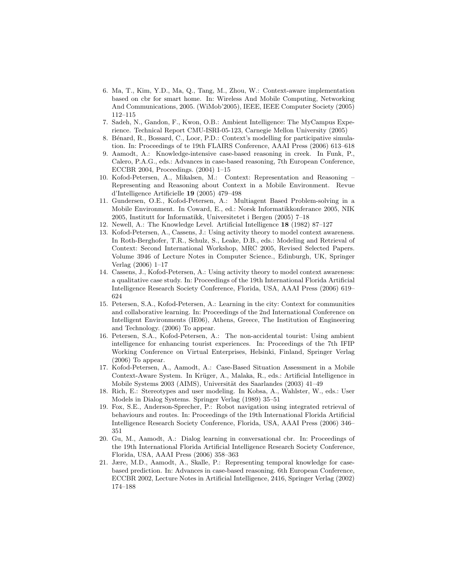- 6. Ma, T., Kim, Y.D., Ma, Q., Tang, M., Zhou, W.: Context-aware implementation based on cbr for smart home. In: Wireless And Mobile Computing, Networking And Communications, 2005. (WiMob'2005), IEEE, IEEE Computer Society (2005) 112–115
- 7. Sadeh, N., Gandon, F., Kwon, O.B.: Ambient Intelligence: The MyCampus Experience. Technical Report CMU-ISRI-05-123, Carnegie Mellon University (2005)
- 8. Bénard, R., Bossard, C., Loor, P.D.: Context's modelling for participative simulation. In: Proceedings of te 19th FLAIRS Conference, AAAI Press (2006) 613–618
- 9. Aamodt, A.: Knowledge-intensive case-based reasoning in creek. In Funk, P., Calero, P.A.G., eds.: Advances in case-based reasoning, 7th European Conference, ECCBR 2004, Proceedings. (2004) 1–15
- 10. Kofod-Petersen, A., Mikalsen, M.: Context: Representation and Reasoning Representing and Reasoning about Context in a Mobile Environment. Revue d'Intelligence Artificielle 19 (2005) 479–498
- 11. Gundersen, O.E., Kofod-Petersen, A.: Multiagent Based Problem-solving in a Mobile Environment. In Coward, E., ed.: Norsk Informatikkonferance 2005, NIK 2005, Institutt for Informatikk, Universitetet i Bergen (2005) 7–18
- 12. Newell, A.: The Knowledge Level. Artificial Intelligence 18 (1982) 87–127
- 13. Kofod-Petersen, A., Cassens, J.: Using activity theory to model context awareness. In Roth-Berghofer, T.R., Schulz, S., Leake, D.B., eds.: Modeling and Retrieval of Context: Second International Workshop, MRC 2005, Revised Selected Papers. Volume 3946 of Lecture Notes in Computer Science., Edinburgh, UK, Springer Verlag (2006) 1–17
- 14. Cassens, J., Kofod-Petersen, A.: Using activity theory to model context awareness: a qualitative case study. In: Proceedings of the 19th International Florida Artificial Intelligence Research Society Conference, Florida, USA, AAAI Press (2006) 619– 624
- 15. Petersen, S.A., Kofod-Petersen, A.: Learning in the city: Context for communities and collaborative learning. In: Proceedings of the 2nd International Conference on Intelligent Environments (IE06), Athens, Greece, The Institution of Engineering and Technology. (2006) To appear.
- 16. Petersen, S.A., Kofod-Petersen, A.: The non-accidental tourist: Using ambient intelligence for enhancing tourist experiences. In: Proceedings of the 7th IFIP Working Conference on Virtual Enterprises, Helsinki, Finland, Springer Verlag (2006) To appear.
- 17. Kofod-Petersen, A., Aamodt, A.: Case-Based Situation Assessment in a Mobile Context-Aware System. In Krüger, A., Malaka, R., eds.: Artificial Intelligence in Mobile Systems  $2003$  (AIMS), Universität des Saarlandes (2003) 41–49
- 18. Rich, E.: Stereotypes and user modeling. In Kobsa, A., Wahlster, W., eds.: User Models in Dialog Systems. Springer Verlag (1989) 35–51
- 19. Fox, S.E., Anderson-Sprecher, P.: Robot navigation using integrated retrieval of behaviours and routes. In: Proceedings of the 19th International Florida Artificial Intelligence Research Society Conference, Florida, USA, AAAI Press (2006) 346– 351
- 20. Gu, M., Aamodt, A.: Dialog learning in conversational cbr. In: Proceedings of the 19th International Florida Artificial Intelligence Research Society Conference, Florida, USA, AAAI Press (2006) 358–363
- 21. Jære, M.D., Aamodt, A., Skalle, P.: Representing temporal knowledge for casebased prediction. In: Advances in case-based reasoning. 6th European Conference, ECCBR 2002, Lecture Notes in Artificial Intelligence, 2416, Springer Verlag (2002) 174–188